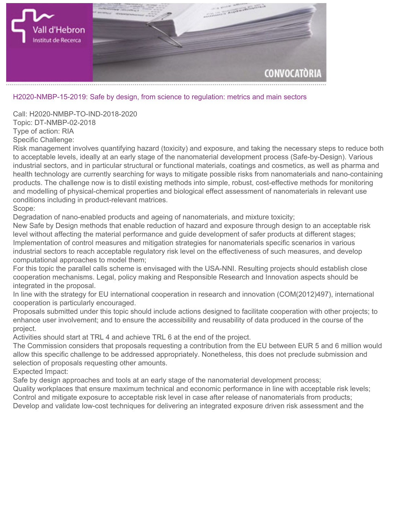

## **H2020-NMBP-15-2019: Safe by design, from science to regulation: metrics and main sectors**

**Call: H2020-NMBP-TO-IND-2018-2020 Topic: DT-NMBP-02-2018 Type of action: RIA Specific Challenge:**

**Risk management involves quantifying hazard (toxicity) and exposure, and taking the necessary steps to reduce both to acceptable levels, ideally at an early stage of the nanomaterial development process (Safe-by-Design). Various industrial sectors, and in particular structural or functional materials, coatings and cosmetics, as well as pharma and health technology are currently searching for ways to mitigate possible risks from nanomaterials and nano-containing products. The challenge now is to distil existing methods into simple, robust, cost-effective methods for monitoring and modelling of physical-chemical properties and biological effect assessment of nanomaterials in relevant use conditions including in product-relevant matrices. Scope:**

**Degradation of nano-enabled products and ageing of nanomaterials, and mixture toxicity;**

**New Safe by Design methods that enable reduction of hazard and exposure through design to an acceptable risk level without affecting the material performance and guide development of safer products at different stages; Implementation of control measures and mitigation strategies for nanomaterials specific scenarios in various industrial sectors to reach acceptable regulatory risk level on the effectiveness of such measures, and develop computational approaches to model them;**

**For this topic the parallel calls scheme is envisaged with the USA-NNI. Resulting projects should establish close cooperation mechanisms. Legal, policy making and Responsible Research and Innovation aspects should be integrated in the proposal.**

**In line with the strategy for EU international cooperation in research and innovation (COM(2012)497), international cooperation is particularly encouraged.**

**Proposals submitted under this topic should include actions designed to facilitate cooperation with other projects; to enhance user involvement; and to ensure the accessibility and reusability of data produced in the course of the project.**

**Activities should start at TRL 4 and achieve TRL 6 at the end of the project.**

**The Commission considers that proposals requesting a contribution from the EU between EUR 5 and 6 million would allow this specific challenge to be addressed appropriately. Nonetheless, this does not preclude submission and selection of proposals requesting other amounts.**

**Expected Impact:**

**Safe by design approaches and tools at an early stage of the nanomaterial development process;**

**Quality workplaces that ensure maximum technical and economic performance in line with acceptable risk levels; Control and mitigate exposure to acceptable risk level in case after release of nanomaterials from products;**

**Develop and validate low-cost techniques for delivering an integrated exposure driven risk assessment and the**